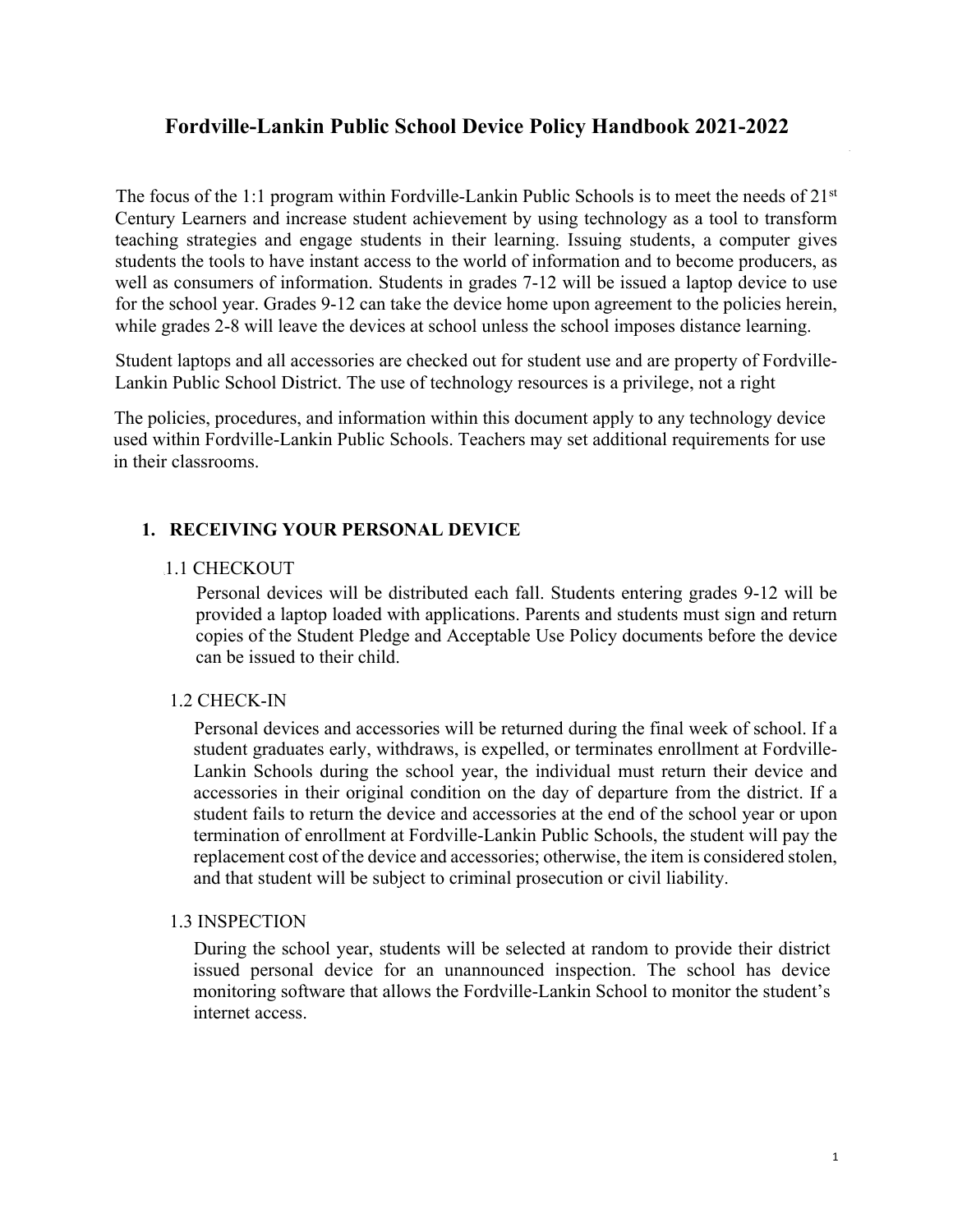# **Fordville-Lankin Public School Device Policy Handbook 2021-2022**

The focus of the 1:1 program within Fordville-Lankin Public Schools is to meet the needs of 21<sup>st</sup> Century Learners and increase student achievement by using technology as a tool to transform teaching strategies and engage students in their learning. Issuing students, a computer gives students the tools to have instant access to the world of information and to become producers, as well as consumers of information. Students in grades 7-12 will be issued a laptop device to use for the school year. Grades 9-12 can take the device home upon agreement to the policies herein, while grades 2-8 will leave the devices at school unless the school imposes distance learning.

Student laptops and all accessories are checked out for student use and are property of Fordville-Lankin Public School District. The use of technology resources is a privilege, not a right

The policies, procedures, and information within this document apply to any technology device used within Fordville-Lankin Public Schools. Teachers may set additional requirements for use in their classrooms.

#### **1. RECEIVING YOUR PERSONAL DEVICE**

#### 1.1 CHECKOUT

Personal devices will be distributed each fall. Students entering grades 9-12 will be provided a laptop loaded with applications. Parents and students must sign and return copies of the Student Pledge and Acceptable Use Policy documents before the device can be issued to their child.

#### 1.2 CHECK-IN

Personal devices and accessories will be returned during the final week of school. If a student graduates early, withdraws, is expelled, or terminates enrollment at Fordville-Lankin Schools during the school year, the individual must return their device and accessories in their original condition on the day of departure from the district. If a student fails to return the device and accessories at the end of the school year or upon termination of enrollment at Fordville-Lankin Public Schools, the student will pay the replacement cost of the device and accessories; otherwise, the item is considered stolen, and that student will be subject to criminal prosecution or civil liability.

#### 1.3 INSPECTION

During the school year, students will be selected at random to provide their district issued personal device for an unannounced inspection. The school has device monitoring software that allows the Fordville-Lankin School to monitor the student's internet access.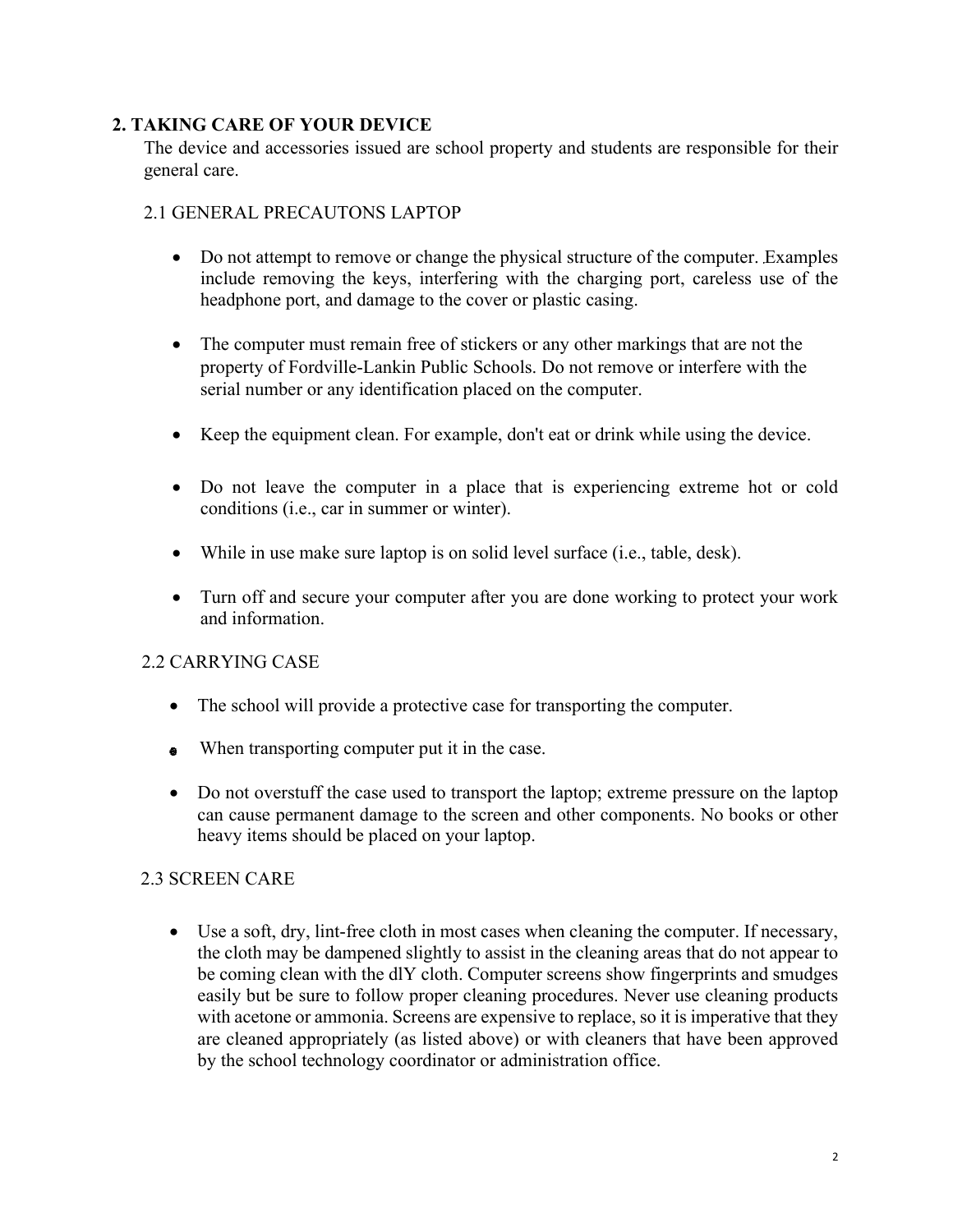### **2. TAKING CARE OF YOUR DEVICE**

The device and accessories issued are school property and students are responsible for their general care.

## 2.1 GENERAL PRECAUTONS LAPTOP

- Do not attempt to remove or change the physical structure of the computer. Examples include removing the keys, interfering with the charging port, careless use of the headphone port, and damage to the cover or plastic casing.
- The computer must remain free of stickers or any other markings that are not the property of Fordville-Lankin Public Schools. Do not remove or interfere with the serial number or any identification placed on the computer.
- Keep the equipment clean. For example, don't eat or drink while using the device.
- Do not leave the computer in a place that is experiencing extreme hot or cold conditions (i.e., car in summer or winter).
- While in use make sure laptop is on solid level surface (i.e., table, desk).
- Turn off and secure your computer after you are done working to protect your work and information.

#### 2.2 CARRYING CASE

- The school will provide a protective case for transporting the computer.
- When transporting computer put it in the case.
- Do not overstuff the case used to transport the laptop; extreme pressure on the laptop can cause permanent damage to the screen and other components. No books or other heavy items should be placed on your laptop.

#### 2.3 SCREEN CARE

• Use a soft, dry, lint-free cloth in most cases when cleaning the computer. If necessary, the cloth may be dampened slightly to assist in the cleaning areas that do not appear to be coming clean with the dlY cloth. Computer screens show fingerprints and smudges easily but be sure to follow proper cleaning procedures. Never use cleaning products with acetone or ammonia. Screens are expensive to replace, so it is imperative that they are cleaned appropriately (as listed above) or with cleaners that have been approved by the school technology coordinator or administration office.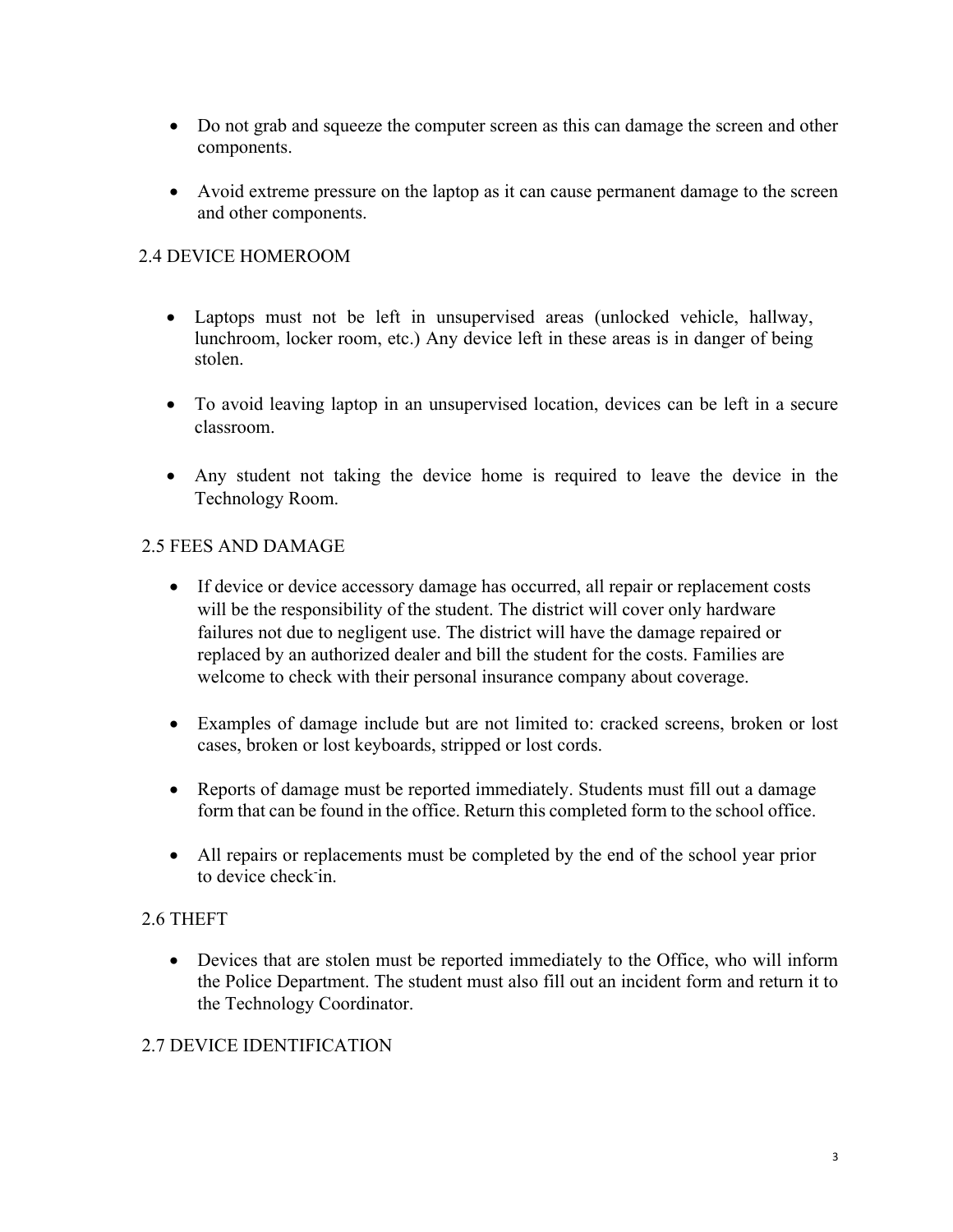- Do not grab and squeeze the computer screen as this can damage the screen and other components.
- Avoid extreme pressure on the laptop as it can cause permanent damage to the screen and other components.

# 2.4 DEVICE HOMEROOM

- Laptops must not be left in unsupervised areas (unlocked vehicle, hallway, lunchroom, locker room, etc.) Any device left in these areas is in danger of being stolen.
- To avoid leaving laptop in an unsupervised location, devices can be left in a secure classroom.
- Any student not taking the device home is required to leave the device in the Technology Room.

## 2.5 FEES AND DAMAGE

- If device or device accessory damage has occurred, all repair or replacement costs will be the responsibility of the student. The district will cover only hardware failures not due to negligent use. The district will have the damage repaired or replaced by an authorized dealer and bill the student for the costs. Families are welcome to check with their personal insurance company about coverage.
- Examples of damage include but are not limited to: cracked screens, broken or lost cases, broken or lost keyboards, stripped or lost cords.
- Reports of damage must be reported immediately. Students must fill out a damage form that can be found in the office. Return this completed form to the school office.
- All repairs or replacements must be completed by the end of the school year prior to device check-in.

#### 2.6 THEFT

• Devices that are stolen must be reported immediately to the Office, who will inform the Police Department. The student must also fill out an incident form and return it to the Technology Coordinator.

# 2.7 DEVICE IDENTIFICATION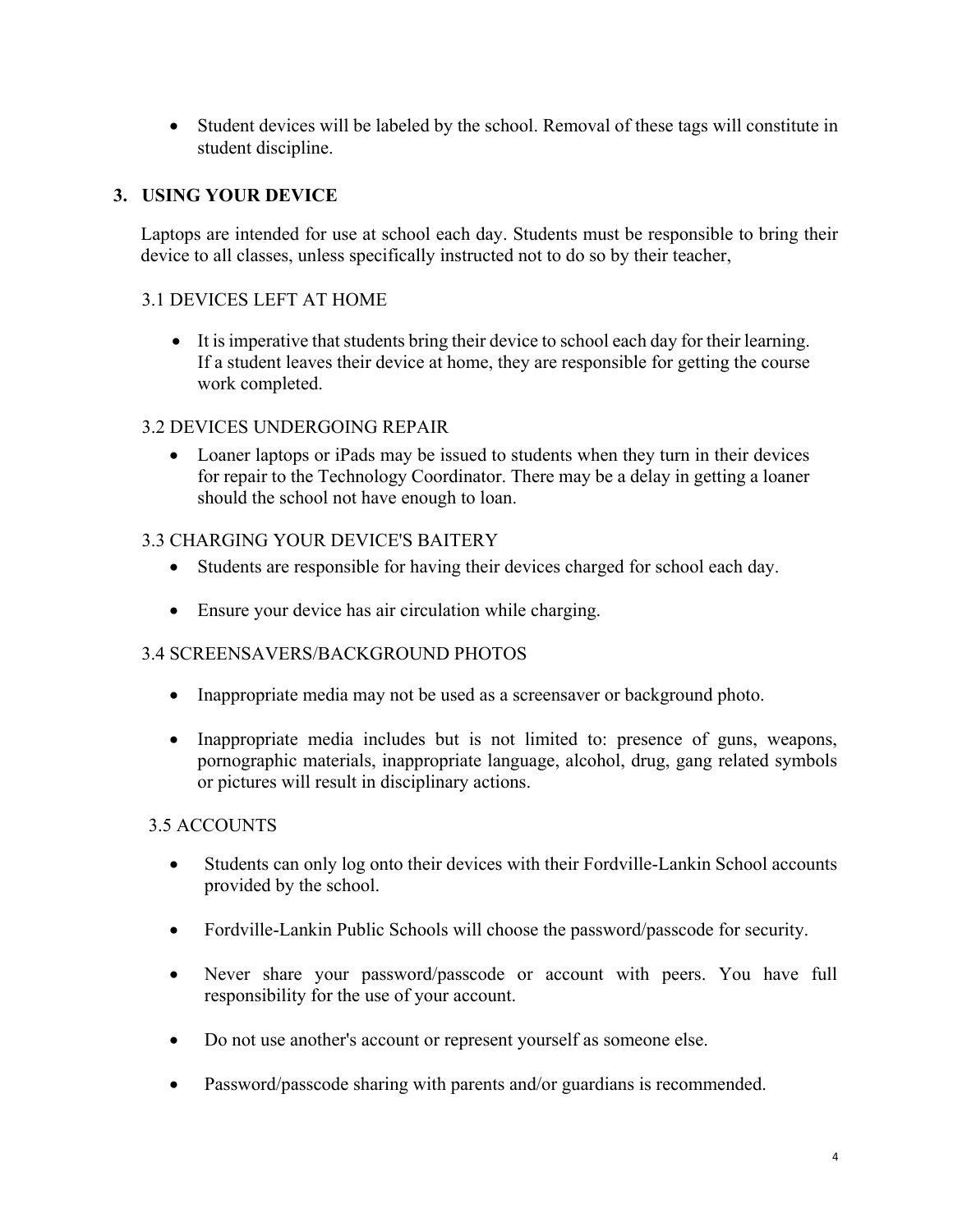• Student devices will be labeled by the school. Removal of these tags will constitute in student discipline.

## **3. USING YOUR DEVICE**

Laptops are intended for use at school each day. Students must be responsible to bring their device to all classes, unless specifically instructed not to do so by their teacher,

## 3.1 DEVICES LEFT AT HOME

• It is imperative that students bring their device to school each day for their learning. If a student leaves their device at home, they are responsible for getting the course work completed.

#### 3.2 DEVICES UNDERGOING REPAIR

• Loaner laptops or iPads may be issued to students when they turn in their devices for repair to the Technology Coordinator. There may be a delay in getting a loaner should the school not have enough to loan.

#### 3.3 CHARGING YOUR DEVICE'S BAITERY

- Students are responsible for having their devices charged for school each day.
- Ensure your device has air circulation while charging.

# 3.4 SCREENSAVERS/BACKGROUND PHOTOS

- Inappropriate media may not be used as a screensaver or background photo.
- Inappropriate media includes but is not limited to: presence of guns, weapons, pornographic materials, inappropriate language, alcohol, drug, gang related symbols or pictures will result in disciplinary actions.

#### 3.5 ACCOUNTS

- Students can only log onto their devices with their Fordville-Lankin School accounts provided by the school.
- Fordville-Lankin Public Schools will choose the password/passcode for security.
- Never share your password/passcode or account with peers. You have full responsibility for the use of your account.
- Do not use another's account or represent yourself as someone else.
- Password/passcode sharing with parents and/or guardians is recommended.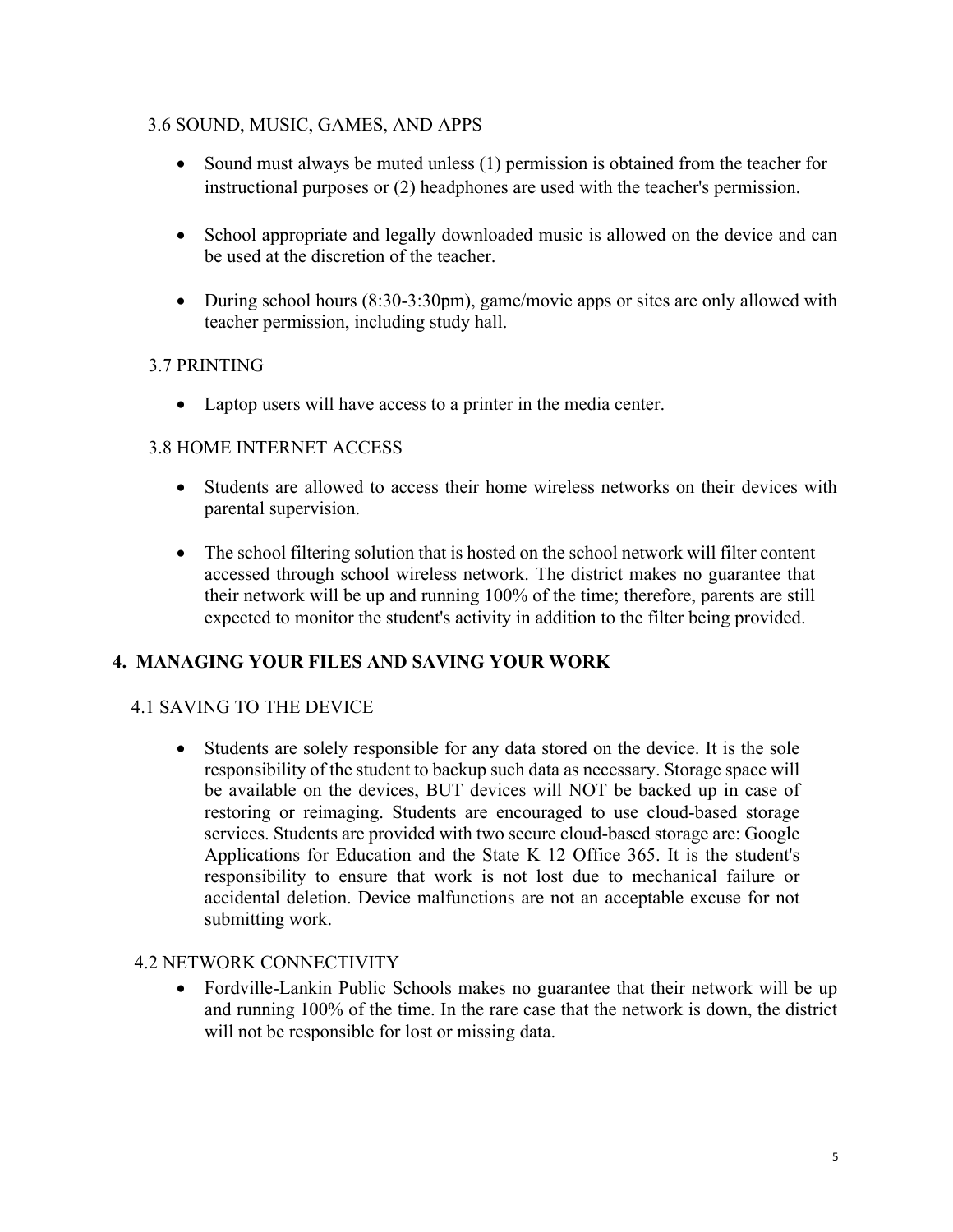### 3.6 SOUND, MUSIC, GAMES, AND APPS

- Sound must always be muted unless (1) permission is obtained from the teacher for instructional purposes or (2) headphones are used with the teacher's permission.
- School appropriate and legally downloaded music is allowed on the device and can be used at the discretion of the teacher.
- During school hours (8:30-3:30pm), game/movie apps or sites are only allowed with teacher permission, including study hall.

## 3.7 PRINTING

• Laptop users will have access to a printer in the media center.

#### 3.8 HOME INTERNET ACCESS

- Students are allowed to access their home wireless networks on their devices with parental supervision.
- The school filtering solution that is hosted on the school network will filter content accessed through school wireless network. The district makes no guarantee that their network will be up and running 100% of the time; therefore, parents are still expected to monitor the student's activity in addition to the filter being provided.

# **4. MANAGING YOUR FILES AND SAVING YOUR WORK**

#### 4.1 SAVING TO THE DEVICE

• Students are solely responsible for any data stored on the device. It is the sole responsibility of the student to backup such data as necessary. Storage space will be available on the devices, BUT devices will NOT be backed up in case of restoring or reimaging. Students are encouraged to use cloud-based storage services. Students are provided with two secure cloud-based storage are: Google Applications for Education and the State K 12 Office 365. It is the student's responsibility to ensure that work is not lost due to mechanical failure or accidental deletion. Device malfunctions are not an acceptable excuse for not submitting work.

#### 4.2 NETWORK CONNECTIVITY

• Fordville-Lankin Public Schools makes no guarantee that their network will be up and running 100% of the time. In the rare case that the network is down, the district will not be responsible for lost or missing data.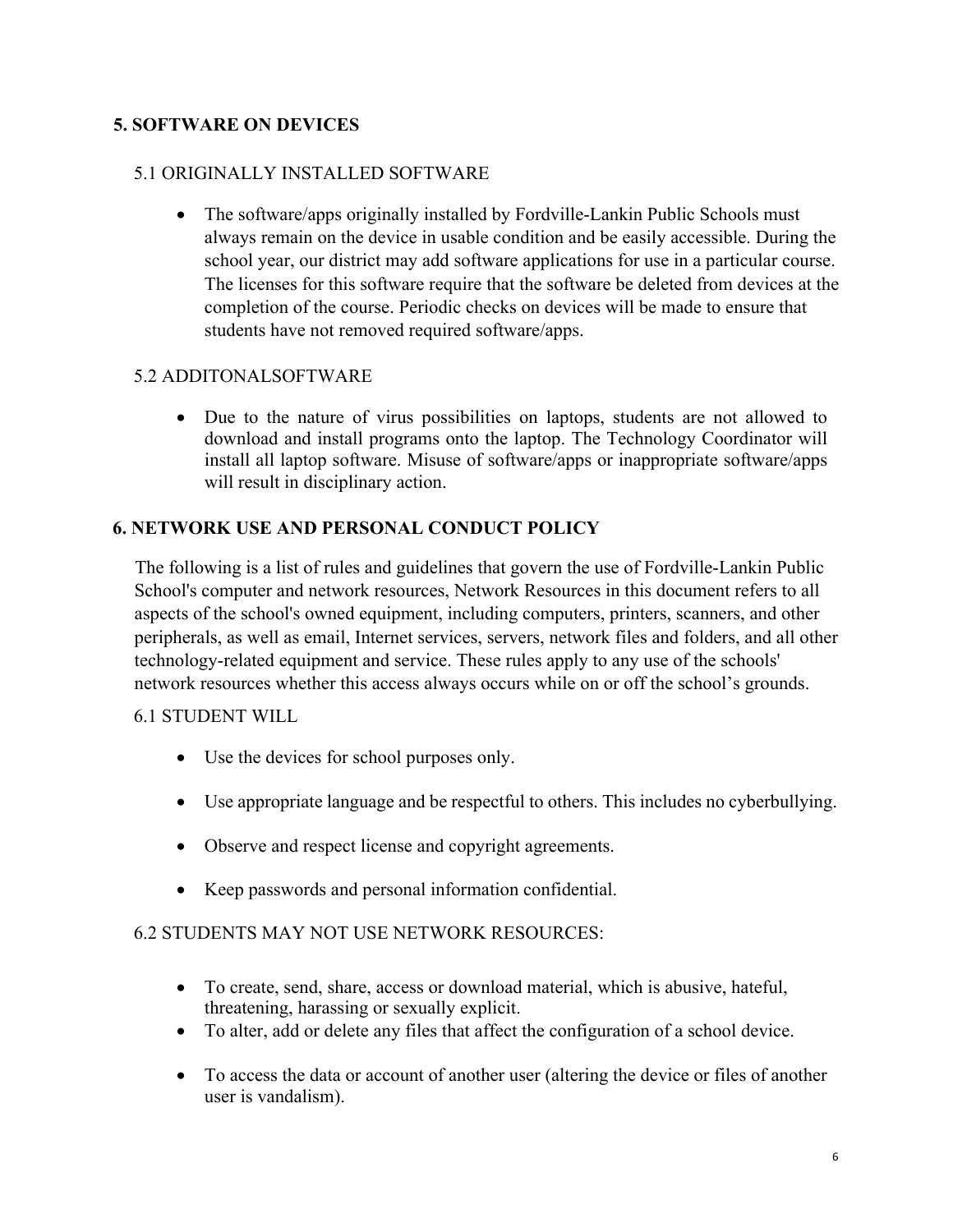# **5. SOFTWARE ON DEVICES**

#### 5.1 ORIGINALLY INSTALLED SOFTWARE

• The software/apps originally installed by Fordville-Lankin Public Schools must always remain on the device in usable condition and be easily accessible. During the school year, our district may add software applications for use in a particular course. The licenses for this software require that the software be deleted from devices at the completion of the course. Periodic checks on devices will be made to ensure that students have not removed required software/apps.

#### 5.2 ADDITONALSOFTWARE

• Due to the nature of virus possibilities on laptops, students are not allowed to download and install programs onto the laptop. The Technology Coordinator will install all laptop software. Misuse of software/apps or inappropriate software/apps will result in disciplinary action.

#### **6. NETWORK USE AND PERSONAL CONDUCT POLICY**

The following is a list of rules and guidelines that govern the use of Fordville-Lankin Public School's computer and network resources, Network Resources in this document refers to all aspects of the school's owned equipment, including computers, printers, scanners, and other peripherals, as well as email, Internet services, servers, network files and folders, and all other technology-related equipment and service. These rules apply to any use of the schools' network resources whether this access always occurs while on or off the school's grounds.

#### 6.1 STUDENT WILL

- Use the devices for school purposes only.
- Use appropriate language and be respectful to others. This includes no cyberbullying.
- Observe and respect license and copyright agreements.
- Keep passwords and personal information confidential.

#### 6.2 STUDENTS MAY NOT USE NETWORK RESOURCES:

- To create, send, share, access or download material, which is abusive, hateful, threatening, harassing or sexually explicit.
- To alter, add or delete any files that affect the configuration of a school device.
- To access the data or account of another user (altering the device or files of another user is vandalism).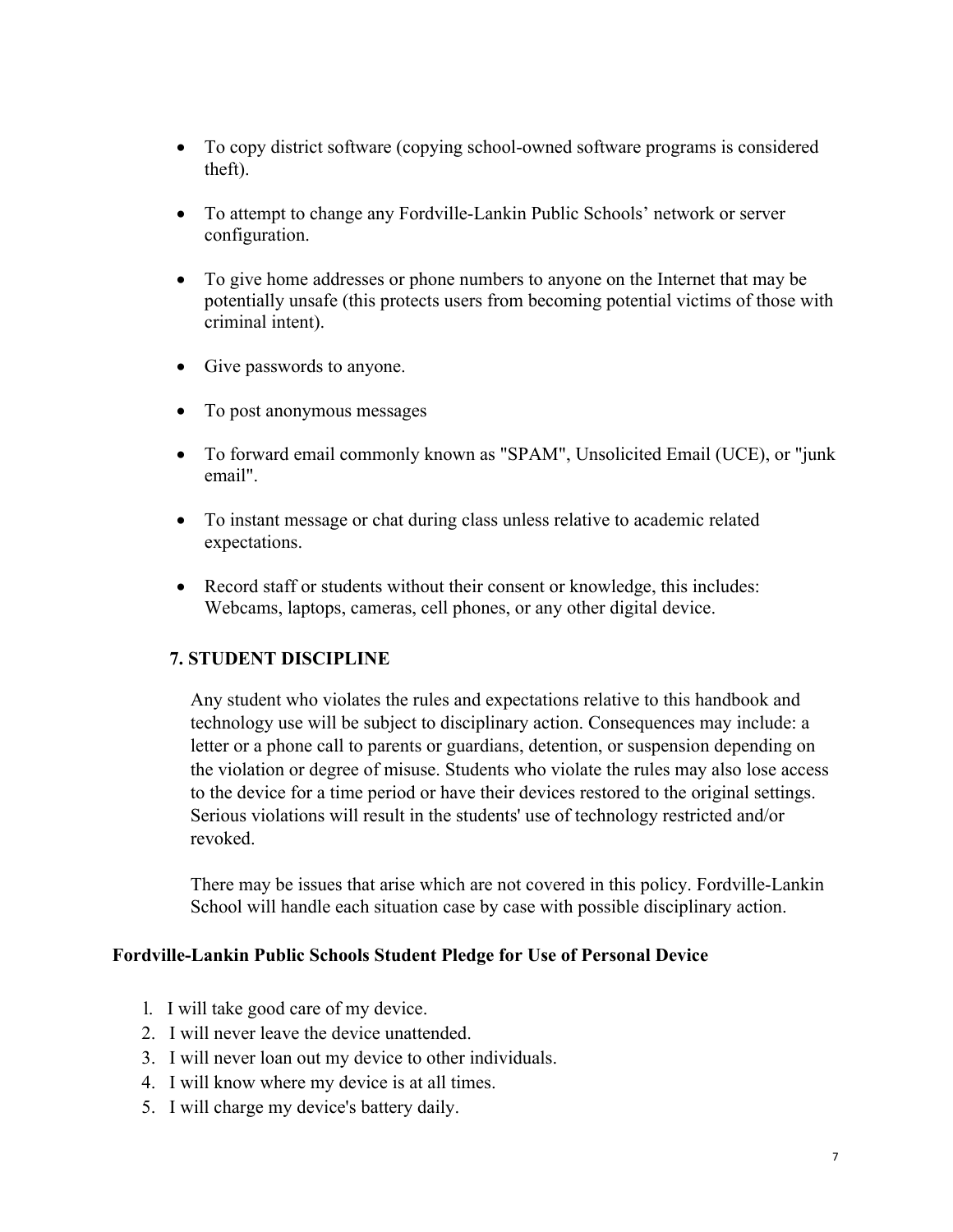- To copy district software (copying school-owned software programs is considered theft).
- To attempt to change any Fordville-Lankin Public Schools' network or server configuration.
- To give home addresses or phone numbers to anyone on the Internet that may be potentially unsafe (this protects users from becoming potential victims of those with criminal intent).
- Give passwords to anyone.
- To post anonymous messages
- To forward email commonly known as "SPAM", Unsolicited Email (UCE), or "junk email".
- To instant message or chat during class unless relative to academic related expectations.
- Record staff or students without their consent or knowledge, this includes: Webcams, laptops, cameras, cell phones, or any other digital device.

#### **7. STUDENT DISCIPLINE**

Any student who violates the rules and expectations relative to this handbook and technology use will be subject to disciplinary action. Consequences may include: a letter or a phone call to parents or guardians, detention, or suspension depending on the violation or degree of misuse. Students who violate the rules may also lose access to the device for a time period or have their devices restored to the original settings. Serious violations will result in the students' use of technology restricted and/or revoked.

There may be issues that arise which are not covered in this policy. Fordville-Lankin School will handle each situation case by case with possible disciplinary action.

#### **Fordville-Lankin Public Schools Student Pledge for Use of Personal Device**

- l. I will take good care of my device.
- 2. I will never leave the device unattended.
- 3. I will never loan out my device to other individuals.
- 4. I will know where my device is at all times.
- 5. I will charge my device's battery daily.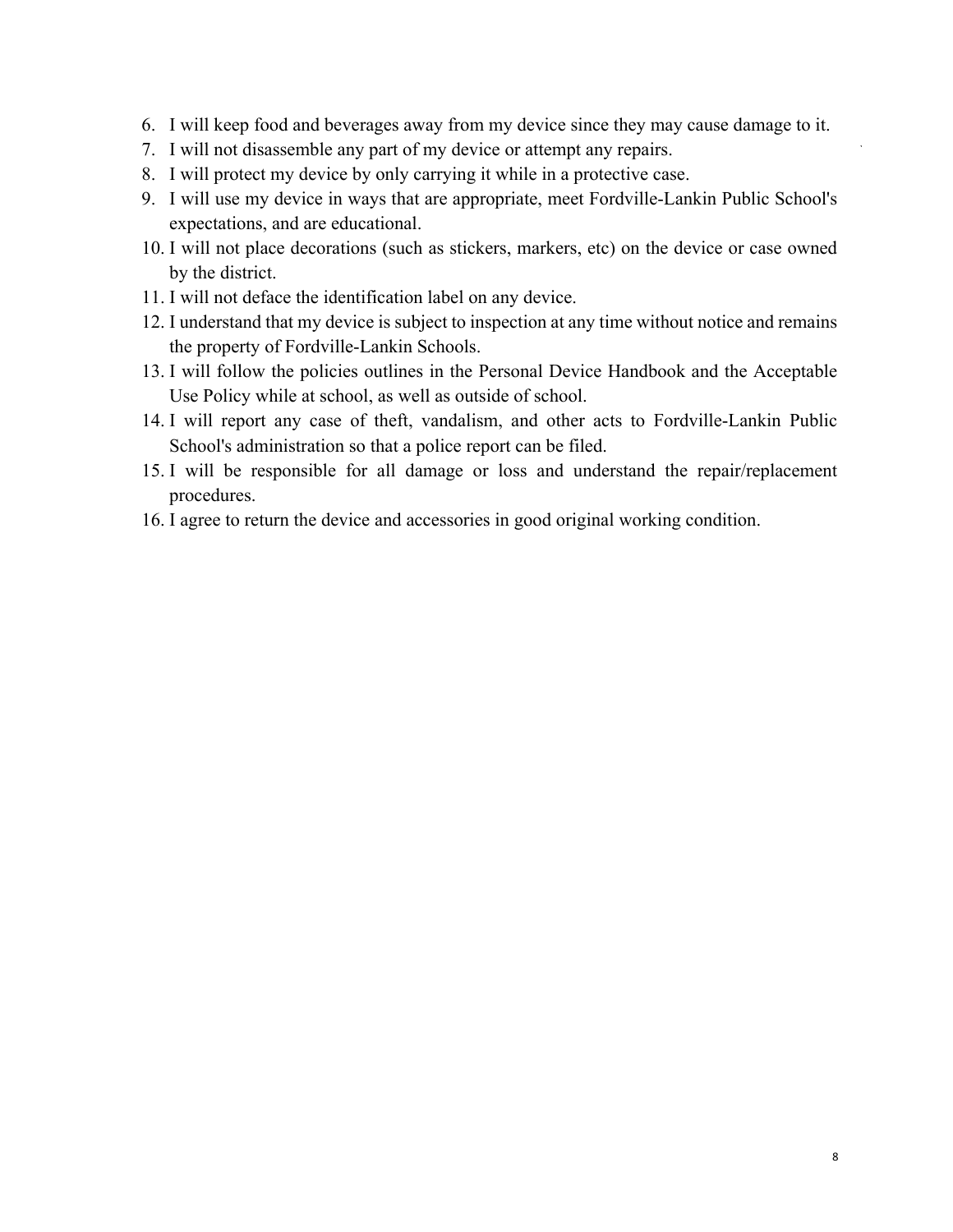- 6. I will keep food and beverages away from my device since they may cause damage to it.
- 7. I will not disassemble any part of my device or attempt any repairs.
- 8. I will protect my device by only carrying it while in a protective case.
- 9. I will use my device in ways that are appropriate, meet Fordville-Lankin Public School's expectations, and are educational.
- 10. I will not place decorations (such as stickers, markers, etc) on the device or case owned by the district.
- 11. I will not deface the identification label on any device.
- 12. I understand that my device is subject to inspection at any time without notice and remains the property of Fordville-Lankin Schools.
- 13. I will follow the policies outlines in the Personal Device Handbook and the Acceptable Use Policy while at school, as well as outside of school.
- 14. I will report any case of theft, vandalism, and other acts to Fordville-Lankin Public School's administration so that a police report can be filed.
- 15. I will be responsible for all damage or loss and understand the repair/replacement procedures.
- 16. I agree to return the device and accessories in good original working condition.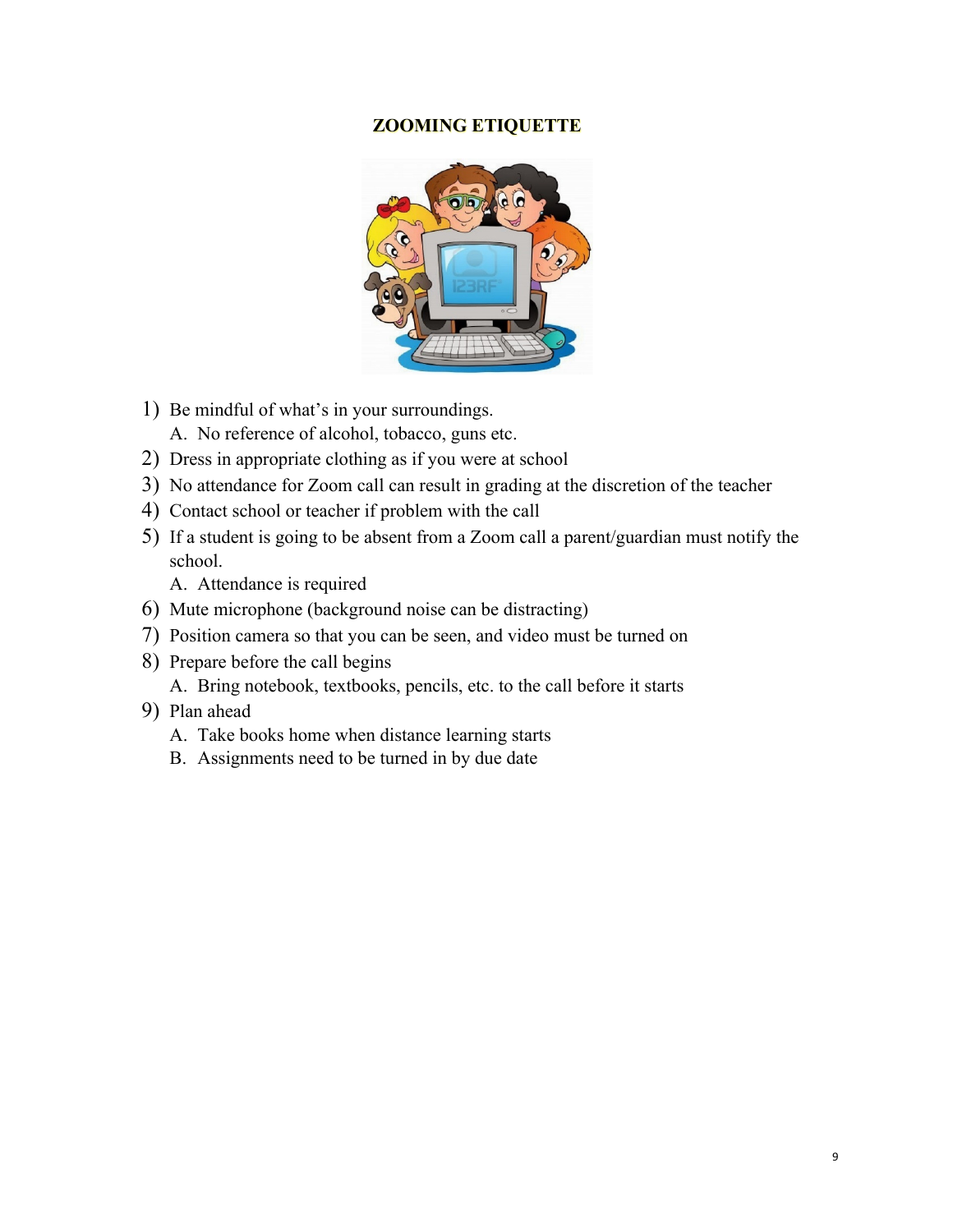#### **ZOOMING ETIQUETTE**



- 1) Be mindful of what's in your surroundings.
	- A. No reference of alcohol, tobacco, guns etc.
- 2) Dress in appropriate clothing as if you were at school
- 3) No attendance for Zoom call can result in grading at the discretion of the teacher
- 4) Contact school or teacher if problem with the call
- 5) If a student is going to be absent from a Zoom call a parent/guardian must notify the school.

A. Attendance is required

- 6) Mute microphone (background noise can be distracting)
- 7) Position camera so that you can be seen, and video must be turned on
- 8) Prepare before the call begins A. Bring notebook, textbooks, pencils, etc. to the call before it starts
- 9) Plan ahead
	- A. Take books home when distance learning starts
	- B. Assignments need to be turned in by due date